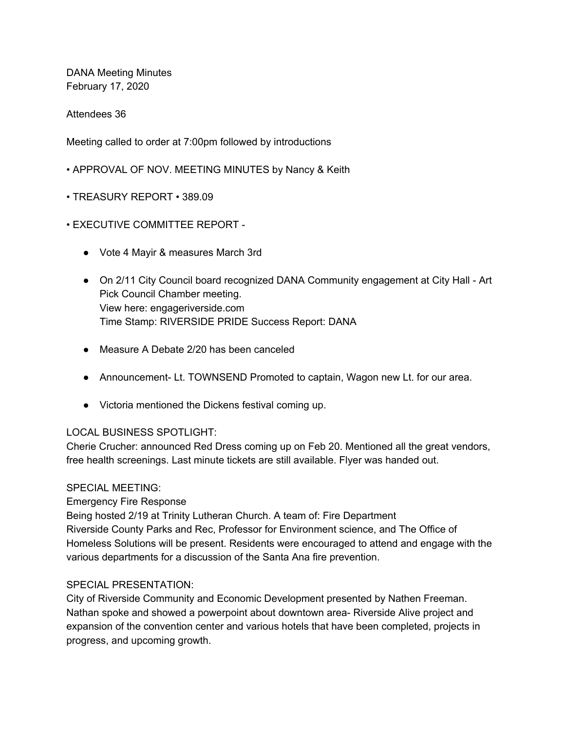DANA Meeting Minutes February 17, 2020

Attendees 36

Meeting called to order at 7:00pm followed by introductions

- APPROVAL OF NOV. MEETING MINUTES by Nancy & Keith
- TREASURY REPORT 389.09
- EXECUTIVE COMMITTEE REPORT
	- Vote 4 Mayir & measures March 3rd
	- On 2/11 City Council board recognized DANA Community engagement at City Hall Art Pick Council Chamber meeting. View here: engageriverside.com Time Stamp: RIVERSIDE PRIDE Success Report: DANA
	- Measure A Debate 2/20 has been canceled
	- Announcement- Lt. TOWNSEND Promoted to captain, Wagon new Lt. for our area.
	- Victoria mentioned the Dickens festival coming up.

## LOCAL BUSINESS SPOTLIGHT:

Cherie Crucher: announced Red Dress coming up on Feb 20. Mentioned all the great vendors, free health screenings. Last minute tickets are still available. Flyer was handed out.

## SPECIAL MEETING:

Emergency Fire Response

Being hosted 2/19 at Trinity Lutheran Church. A team of: Fire Department Riverside County Parks and Rec, Professor for Environment science, and The Office of Homeless Solutions will be present. Residents were encouraged to attend and engage with the various departments for a discussion of the Santa Ana fire prevention.

## SPECIAL PRESENTATION:

City of Riverside Community and Economic Development presented by Nathen Freeman. Nathan spoke and showed a powerpoint about downtown area- Riverside Alive project and expansion of the convention center and various hotels that have been completed, projects in progress, and upcoming growth.